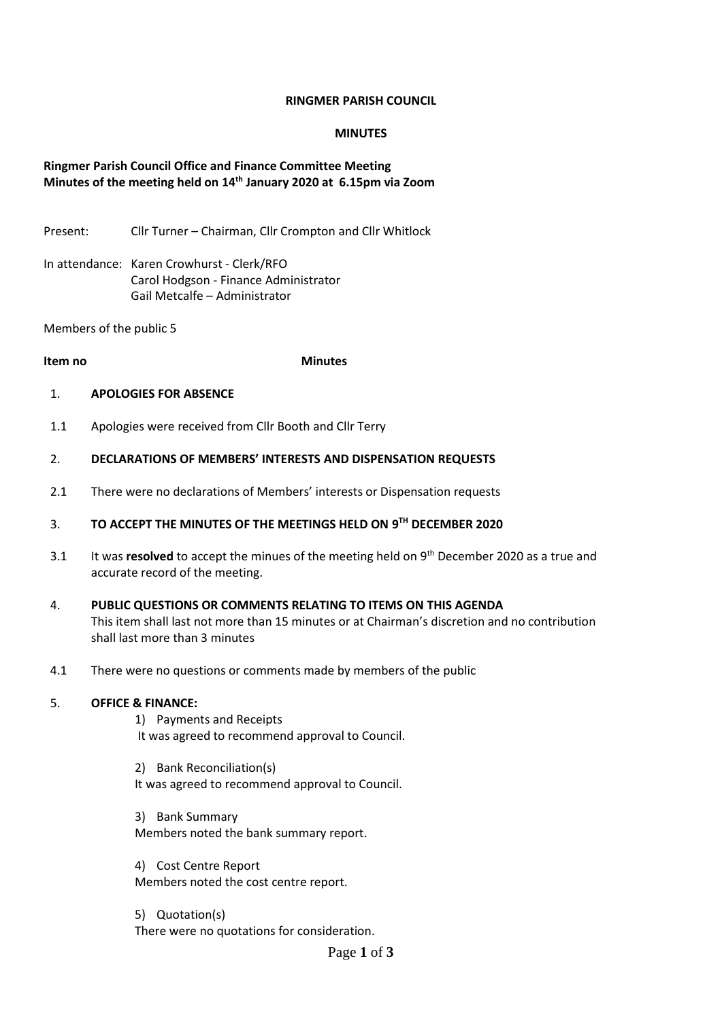## **RINGMER PARISH COUNCIL**

### **MINUTES**

# **Ringmer Parish Council Office and Finance Committee Meeting Minutes of the meeting held on 14th January 2020 at 6.15pm via Zoom**

Present: Cllr Turner – Chairman, Cllr Crompton and Cllr Whitlock

In attendance: Karen Crowhurst - Clerk/RFO Carol Hodgson - Finance Administrator Gail Metcalfe – Administrator

Members of the public 5

### **Item no Minutes**

#### 1. **APOLOGIES FOR ABSENCE**

1.1 Apologies were received from Cllr Booth and Cllr Terry

#### 2. **DECLARATIONS OF MEMBERS' INTERESTS AND DISPENSATION REQUESTS**

2.1 There were no declarations of Members' interests or Dispensation requests

#### 3. **TO ACCEPT THE MINUTES OF THE MEETINGS HELD ON 9 TH DECEMBER 2020**

- 3.1 It was **resolved** to accept the minues of the meeting held on 9<sup>th</sup> December 2020 as a true and accurate record of the meeting.
- 4. **PUBLIC QUESTIONS OR COMMENTS RELATING TO ITEMS ON THIS AGENDA** This item shall last not more than 15 minutes or at Chairman's discretion and no contribution shall last more than 3 minutes
- 4.1 There were no questions or comments made by members of the public

## 5. **OFFICE & FINANCE:**

- 1) Payments and Receipts It was agreed to recommend approval to Council.
- 2) Bank Reconciliation(s) It was agreed to recommend approval to Council.
- 3) Bank Summary Members noted the bank summary report.
- 4) Cost Centre Report Members noted the cost centre report.

5) Quotation(s) There were no quotations for consideration.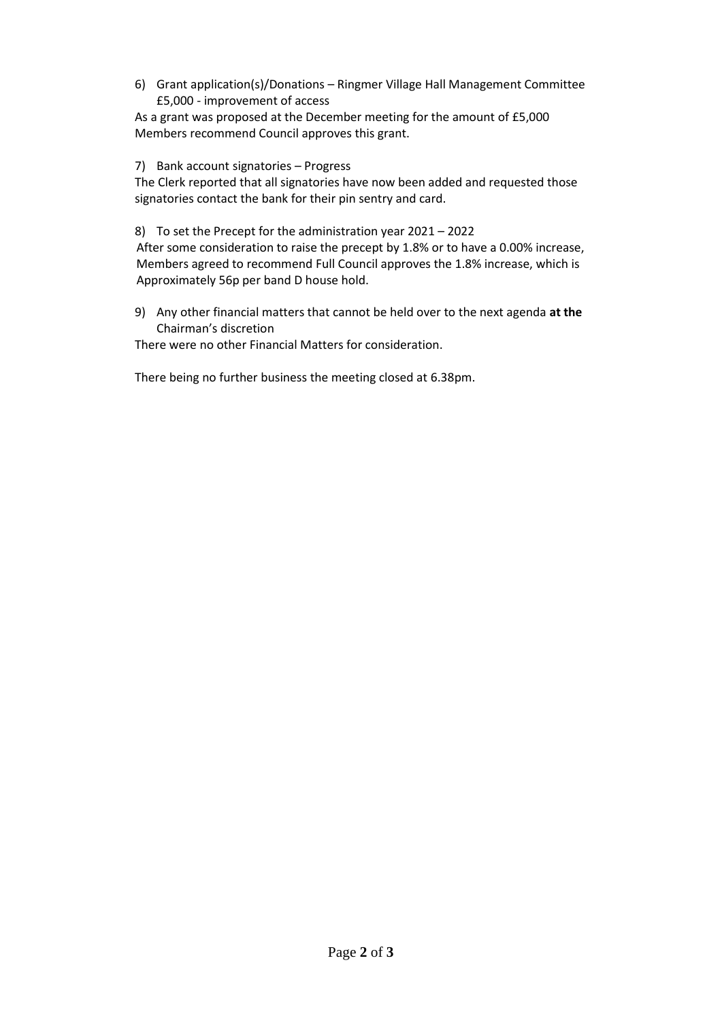6) Grant application(s)/Donations – Ringmer Village Hall Management Committee £5,000 - improvement of access

As a grant was proposed at the December meeting for the amount of £5,000 Members recommend Council approves this grant.

7) Bank account signatories – Progress

The Clerk reported that all signatories have now been added and requested those signatories contact the bank for their pin sentry and card.

8) To set the Precept for the administration year 2021 – 2022

 After some consideration to raise the precept by 1.8% or to have a 0.00% increase, Members agreed to recommend Full Council approves the 1.8% increase, which is Approximately 56p per band D house hold.

9) Any other financial matters that cannot be held over to the next agenda **at the**  Chairman's discretion

There were no other Financial Matters for consideration.

There being no further business the meeting closed at 6.38pm.